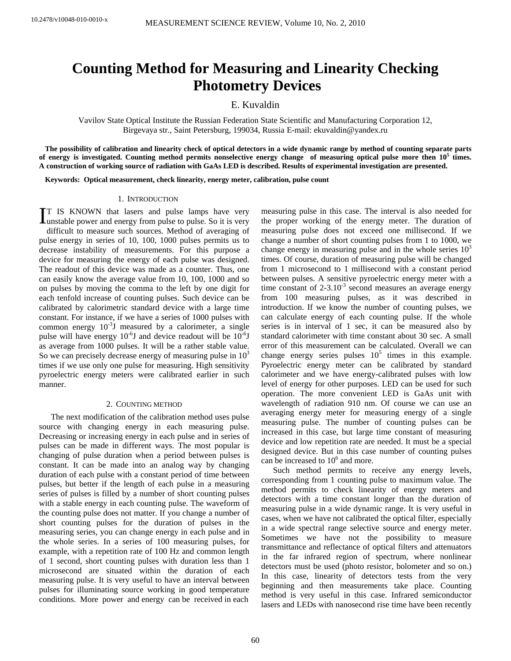# **Counting Method for Measuring and Linearity Checking Photometry Devices**

E. Kuvaldin

Vavilov State Optical Institute the Russian Federation State Scientific and Manufacturing Corporation 12, Birgevaya str., Saint Petersburg, 199034, Russia E-mail: ekuvaldin@yandex.ru

**The possibility of calibration and linearity check of optical detectors in a wide dynamic range by method of counting separate parts**  of energy is investigated. Counting method permits nonselective energy change of measuring optical pulse more then  $10^5$  times. **A construction of working source of radiation with GaAs LED is described. Results of experimental investigation are presented.** 

**Keywords: Optical measurement, check linearity, energy meter, calibration, pulse count** 

### 1. INTRODUCTION

T IS KNOWN that lasers and pulse lamps have very IT IS KNOWN that lasers and pulse lamps have very unstable power and energy from pulse to pulse. So it is very difficult to measure such sources. Method of averaging of pulse energy in series of 10, 100, 1000 pulses permits us to decrease instability of measurements. For this purpose a device for measuring the energy of each pulse was designed. The readout of this device was made as a counter. Thus, one can easily know the average value from 10, 100, 1000 and so on pulses by moving the comma to the left by one digit for each tenfold increase of counting pulses. Such device can be calibrated by calorimetric standard device with a large time constant. For instance, if we have a series of 1000 pulses with common energy  $10^{-3}$ J measured by a calorimeter, a single pulse will have energy  $10^{-6}$ J and device readout will be  $10^{-6}$ J as average from 1000 pulses. It will be a rather stable value. So we can precisely decrease energy of measuring pulse in  $10<sup>3</sup>$ times if we use only one pulse for measuring. High sensitivity pyroelectric energy meters were calibrated earlier in such manner.

## 2. COUNTING METHOD

The next modification of the calibration method uses pulse source with changing energy in each measuring pulse. Decreasing or increasing energy in each pulse and in series of pulses can be made in different ways. The most popular is changing of pulse duration when a period between pulses is constant. It can be made into an analog way by changing duration of each pulse with a constant period of time between pulses, but better if the length of each pulse in a measuring series of pulses is filled by a number of short counting pulses with a stable energy in each counting pulse. The waveform of the counting pulse does not matter. If you change a number of short counting pulses for the duration of pulses in the measuring series, you can change energy in each pulse and in the whole series. In a series of 100 measuring pulses, for example, with a repetition rate of 100 Hz and common length of 1 second, short counting pulses with duration less than 1 microsecond are situated within the duration of each measuring pulse. It is very useful to have an interval between pulses for illuminating source working in good temperature conditions. More power and energy can be received in each

measuring pulse in this case. The interval is also needed for the proper working of the energy meter. The duration of measuring pulse does not exceed one millisecond. If we change a number of short counting pulses from 1 to 1000, we change energy in measuring pulse and in the whole series  $10<sup>3</sup>$ times. Of course, duration of measuring pulse will be changed from 1 microsecond to 1 millisecond with a constant period between pulses. A sensitive pyroelectric energy meter with a time constant of  $2-3.10^{-3}$  second measures an average energy from 100 measuring pulses, as it was described in introduction. If we know the number of counting pulses, we can calculate energy of each counting pulse. If the whole series is in interval of 1 sec, it can be measured also by standard calorimeter with time constant about 30 sec. A small error of this measurement can be calculated. Overall we can change energy series pulses  $10^5$  times in this example. Pyroelectric energy meter can be calibrated by standard calorimeter and we have energy-calibrated pulses with low level of energy for other purposes. LED can be used for such operation. The more convenient LED is GaAs unit with wavelength of radiation 910 nm. Of course we can use an averaging energy meter for measuring energy of a single measuring pulse. The number of counting pulses can be increased in this case, but large time constant of measuring device and low repetition rate are needed. It must be a special designed device. But in this case number of counting pulses can be increased to 10<sup>6</sup> and more.

Such method permits to receive any energy levels, corresponding from 1 counting pulse to maximum value. The method permits to check linearity of energy meters and detectors with a time constant longer than the duration of measuring pulse in a wide dynamic range. It is very useful in cases, when we have not calibrated the optical filter, especially in a wide spectral range selective source and energy meter. Sometimes we have not the possibility to measure transmittance and reflectance of optical filters and attenuators in the far infrared region of spectrum, where nonlinear detectors must be used (photo resistor, bolometer and so on.) In this case, linearity of detectors tests from the very beginning and then measurements take place. Counting method is very useful in this case. Infrared semiconductor lasers and LEDs with nanosecond rise time have been recently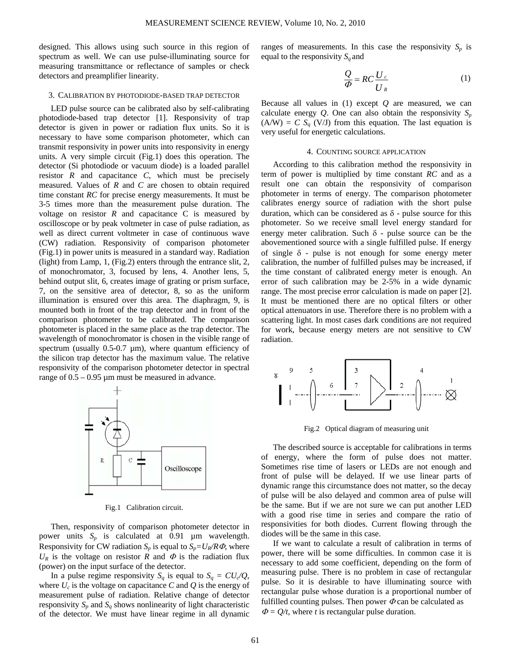designed. This allows using such source in this region of spectrum as well. We can use pulse-illuminating source for measuring transmittance or reflectance of samples or check detectors and preamplifier linearity.

### 3. CALIBRATION BY PHOTODIODE-BASED TRAP DETECTOR

LED pulse source can be calibrated also by self-calibrating photodiode-based trap detector [1]. Responsivity of trap detector is given in power or radiation flux units. So it is necessary to have some comparison photometer, which can transmit responsivity in power units into responsivity in energy units. A very simple circuit (Fig.1) does this operation. The detector (Si photodiode or vacuum diode) is a loaded parallel resistor *R* and capacitance *C*, which must be precisely measured. Values of *R* and *C* are chosen to obtain required time constant *RC* for precise energy measurements. It must be 3-5 times more than the measurement pulse duration. The voltage on resistor  $R$  and capacitance  $C$  is measured by oscilloscope or by peak voltmeter in case of pulse radiation, as well as direct current voltmeter in case of continuous wave (CW) radiation. Responsivity of comparison photometer (Fig.1) in power units is measured in a standard way. Radiation (light) from Lamp, 1, (Fig.2) enters through the entrance slit, 2, of monochromator, 3, focused by lens, 4. Another lens, 5, behind output slit, 6, creates image of grating or prism surface, 7, on the sensitive area of detector, 8, so as the uniform illumination is ensured over this area. The diaphragm, 9, is mounted both in front of the trap detector and in front of the comparison photometer to be calibrated. The comparison photometer is placed in the same place as the trap detector. The wavelength of monochromator is chosen in the visible range of spectrum (usually  $0.5$ -0.7  $\mu$ m), where quantum efficiency of the silicon trap detector has the maximum value. The relative responsivity of the comparison photometer detector in spectral range of  $0.5 - 0.95$  µm must be measured in advance.



Fig.1 Calibration circuit.

Then, responsivity of comparison photometer detector in power units  $S_p$  is calculated at 0.91  $\mu$ m wavelength. Responsivity for CW radiation  $S_p$  is equal to  $S_p = U_R/R\Phi$ , where  $U_R$  is the voltage on resistor *R* and  $\Phi$  is the radiation flux (power) on the input surface of the detector.

In a pulse regime responsivity  $S_q$  is equal to  $S_q = CU_q/Q$ , where  $U_c$  is the voltage on capacitance C and Q is the energy of measurement pulse of radiation. Relative change of detector responsivity  $S_p$  and  $S_q$  shows nonlinearity of light characteristic of the detector. We must have linear regime in all dynamic

ranges of measurements. In this case the responsivity  $S_p$  is equal to the responsivity  $S_a$  and

$$
\frac{Q}{\phi} = RC \frac{U_c}{U_R}
$$
 (1)

Because all values in (1) except *Q* are measured, we can calculate energy  $Q$ . One can also obtain the responsivity  $S_p$  $(A/W) = C S<sub>a</sub> (V/J)$  from this equation. The last equation is very useful for energetic calculations.

#### 4. COUNTING SOURCE APPLICATION

According to this calibration method the responsivity in term of power is multiplied by time constant *RC* and as a result one can obtain the responsivity of comparison photometer in terms of energy. The comparison photometer calibrates energy source of radiation with the short pulse duration, which can be considered as  $\delta$  - pulse source for this photometer. So we receive small level energy standard for energy meter calibration. Such  $\delta$  - pulse source can be the abovementioned source with a single fulfilled pulse. If energy of single  $\delta$  - pulse is not enough for some energy meter calibration, the number of fulfilled pulses may be increased, if the time constant of calibrated energy meter is enough. An error of such calibration may be 2-5% in a wide dynamic range. The most precise error calculation is made on paper [2]. It must be mentioned there are no optical filters or other optical attenuators in use. Therefore there is no problem with a scattering light. In most cases dark conditions are not required for work, because energy meters are not sensitive to CW radiation.



Fig.2 Optical diagram of measuring unit

The described source is acceptable for calibrations in terms of energy, where the form of pulse does not matter. Sometimes rise time of lasers or LEDs are not enough and front of pulse will be delayed. If we use linear parts of dynamic range this circumstance does not matter, so the decay of pulse will be also delayed and common area of pulse will be the same. But if we are not sure we can put another LED with a good rise time in series and compare the ratio of responsivities for both diodes. Current flowing through the diodes will be the same in this case.

If we want to calculate a result of calibration in terms of power, there will be some difficulties. In common case it is necessary to add some coefficient, depending on the form of measuring pulse. There is no problem in case of rectangular pulse. So it is desirable to have illuminating source with rectangular pulse whose duration is a proportional number of fulfilled counting pulses. Then power  $\Phi$  can be calculated as  $\Phi = Q/t$ , where *t* is rectangular pulse duration.